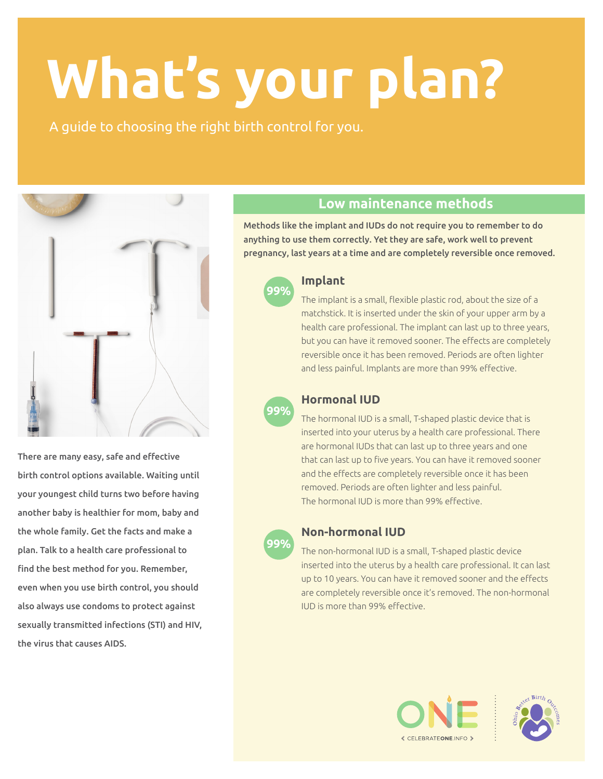# **What's your plan?**

A guide to choosing the right birth control for you.



There are many easy, safe and effective birth control options available. Waiting until your youngest child turns two before having another baby is healthier for mom, baby and the whole family. Get the facts and make a plan. Talk to a health care professional to find the best method for you. Remember, even when you use birth control, you should also always use condoms to protect against sexually transmitted infections (STI) and HIV, the virus that causes AIDS.

## **Low maintenance methods**

Methods like the implant and IUDs do not require you to remember to do anything to use them correctly. Yet they are safe, work well to prevent pregnancy, last years at a time and are completely reversible once removed.



#### **Implant**

The implant is a small, flexible plastic rod, about the size of a matchstick. It is inserted under the skin of your upper arm by a health care professional. The implant can last up to three years, but you can have it removed sooner. The effects are completely reversible once it has been removed. Periods are often lighter and less painful. Implants are more than 99% effective.



#### **Hormonal IUD**

The hormonal IUD is a small, T-shaped plastic device that is inserted into your uterus by a health care professional. There are hormonal IUDs that can last up to three years and one that can last up to five years. You can have it removed sooner and the effects are completely reversible once it has been removed. Periods are often lighter and less painful. The hormonal IUD is more than 99% effective.



#### **Non-hormonal IUD**

The non-hormonal IUD is a small, T-shaped plastic device inserted into the uterus by a health care professional. It can last up to 10 years. You can have it removed sooner and the effects are completely reversible once it's removed. The non-hormonal IUD is more than 99% effective.